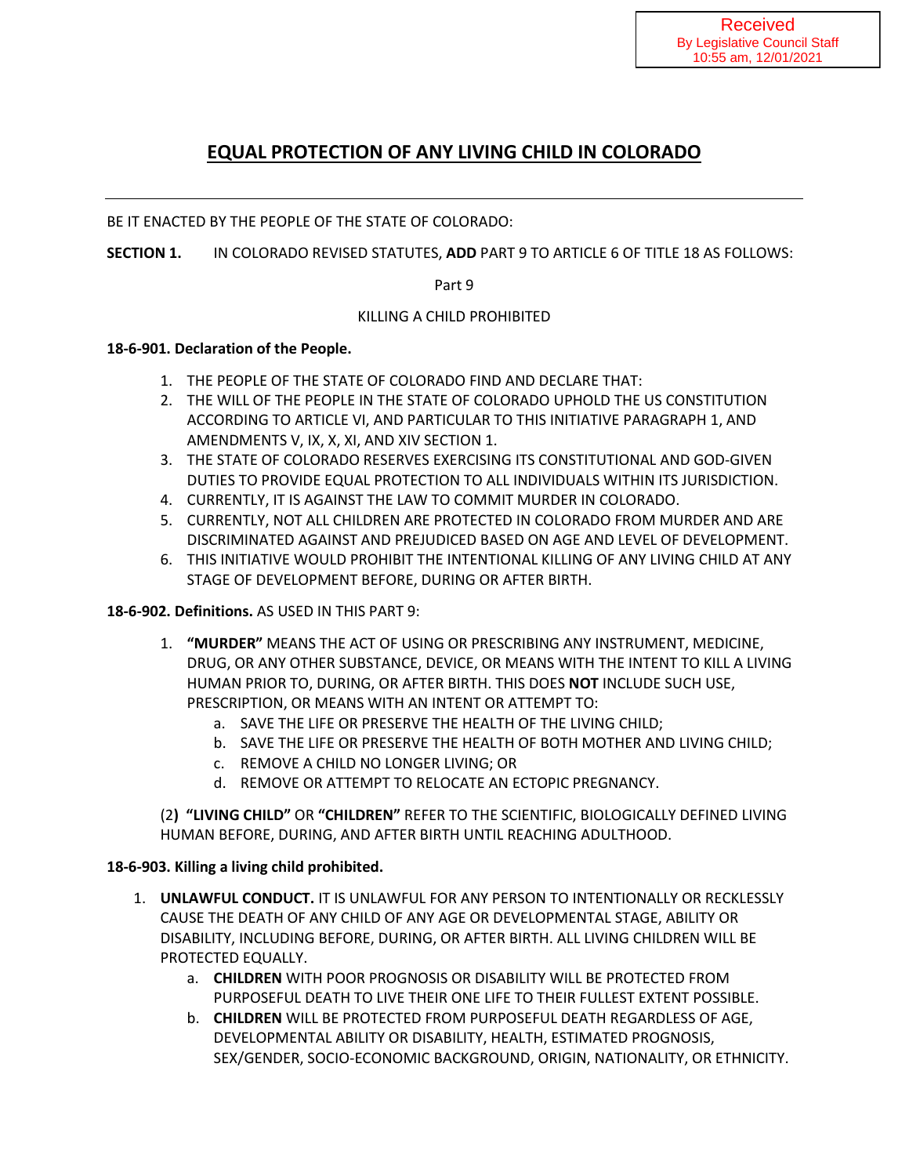# **EQUAL PROTECTION OF ANY LIVING CHILD IN COLORADO**

BE IT ENACTED BY THE PEOPLE OF THE STATE OF COLORADO:

**SECTION 1.** IN COLORADO REVISED STATUTES, **ADD** PART 9 TO ARTICLE 6 OF TITLE 18 AS FOLLOWS:

Part 9

### KILLING A CHILD PROHIBITED

#### **18-6-901. Declaration of the People.**

- 1. THE PEOPLE OF THE STATE OF COLORADO FIND AND DECLARE THAT:
- 2. THE WILL OF THE PEOPLE IN THE STATE OF COLORADO UPHOLD THE US CONSTITUTION ACCORDING TO ARTICLE VI, AND PARTICULAR TO THIS INITIATIVE PARAGRAPH 1, AND AMENDMENTS V, IX, X, XI, AND XIV SECTION 1.
- 3. THE STATE OF COLORADO RESERVES EXERCISING ITS CONSTITUTIONAL AND GOD-GIVEN DUTIES TO PROVIDE EQUAL PROTECTION TO ALL INDIVIDUALS WITHIN ITS JURISDICTION.
- 4. CURRENTLY, IT IS AGAINST THE LAW TO COMMIT MURDER IN COLORADO.
- 5. CURRENTLY, NOT ALL CHILDREN ARE PROTECTED IN COLORADO FROM MURDER AND ARE DISCRIMINATED AGAINST AND PREJUDICED BASED ON AGE AND LEVEL OF DEVELOPMENT.
- 6. THIS INITIATIVE WOULD PROHIBIT THE INTENTIONAL KILLING OF ANY LIVING CHILD AT ANY STAGE OF DEVELOPMENT BEFORE, DURING OR AFTER BIRTH.

#### **18-6-902. Definitions.** AS USED IN THIS PART 9:

- 1. **"MURDER"** MEANS THE ACT OF USING OR PRESCRIBING ANY INSTRUMENT, MEDICINE, DRUG, OR ANY OTHER SUBSTANCE, DEVICE, OR MEANS WITH THE INTENT TO KILL A LIVING HUMAN PRIOR TO, DURING, OR AFTER BIRTH. THIS DOES **NOT** INCLUDE SUCH USE, PRESCRIPTION, OR MEANS WITH AN INTENT OR ATTEMPT TO:
	- a. SAVE THE LIFE OR PRESERVE THE HEALTH OF THE LIVING CHILD;
	- b. SAVE THE LIFE OR PRESERVE THE HEALTH OF BOTH MOTHER AND LIVING CHILD;
	- c. REMOVE A CHILD NO LONGER LIVING; OR
	- d. REMOVE OR ATTEMPT TO RELOCATE AN ECTOPIC PREGNANCY.

(2**) "LIVING CHILD"** OR **"CHILDREN"** REFER TO THE SCIENTIFIC, BIOLOGICALLY DEFINED LIVING HUMAN BEFORE, DURING, AND AFTER BIRTH UNTIL REACHING ADULTHOOD.

#### **18-6-903. Killing a living child prohibited.**

- 1. **UNLAWFUL CONDUCT.** IT IS UNLAWFUL FOR ANY PERSON TO INTENTIONALLY OR RECKLESSLY CAUSE THE DEATH OF ANY CHILD OF ANY AGE OR DEVELOPMENTAL STAGE, ABILITY OR DISABILITY, INCLUDING BEFORE, DURING, OR AFTER BIRTH. ALL LIVING CHILDREN WILL BE PROTECTED EQUALLY.
	- a. **CHILDREN** WITH POOR PROGNOSIS OR DISABILITY WILL BE PROTECTED FROM PURPOSEFUL DEATH TO LIVE THEIR ONE LIFE TO THEIR FULLEST EXTENT POSSIBLE.
	- b. **CHILDREN** WILL BE PROTECTED FROM PURPOSEFUL DEATH REGARDLESS OF AGE, DEVELOPMENTAL ABILITY OR DISABILITY, HEALTH, ESTIMATED PROGNOSIS, SEX/GENDER, SOCIO-ECONOMIC BACKGROUND, ORIGIN, NATIONALITY, OR ETHNICITY.